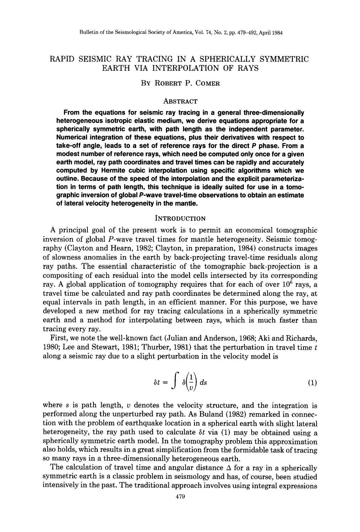# RAPID SEISMIC RAY TRACING IN A SPHERICALLY SYMMETRIC EARTH VIA INTERPOLATION OF RAYS

## BY ROBERT P. COMER

### ABSTRACT

**From the equations for seismic ray tracing in a general three-dimensionally heterogeneous isotropic elastic medium, we derive equations appropriate for a spherically symmetric earth, with path length as the independent parameter. Numerical integration of these equations, plus their derivatives with respect to take-off angle, leads to a set of reference rays for the direct P phase. From a modest number of reference rays, which need be computed only once for a given earth model, ray path coordinates and travel times can be rapidly and accurately computed by Hermite cubic interpolation using specific algorithms which we outline. Because of the speed of the interpolation and the explicit parameterization in terms of path length, this technique is ideally suited for use in a tomographic inversion of global P-wave travel-time observations to obtain an estimate of lateral velocity heterogeneity in the mantle.** 

### **INTRODUCTION**

A principal goal of the present work is to permit an economical tomographic inversion of global P-wave travel times for mantle heterogeneity. Seismic tomography (Clayton and Hearn, 1982; Clayton, in preparation, 1984) constructs images of slowness anomalies in the earth by back-projecting travel-time residuals along ray paths. The essential characteristic of the tomographic back-projection is a compositing of each residual into the model cells intersected by its corresponding ray. A global application of tomography requires that for each of over  $10^6$  rays, a travel time be calculated and ray path coordinates be determined along the ray, at equal intervals in path length, in an efficient manner. For this purpose, we have developed a new method for ray tracing calculations in a spherically symmetric earth and a method for interpolating between rays, which is much faster than tracing every ray.

First, we note the well-known fact (Julian and Anderson, 1968; Aki and Richards, 1980; Lee and Stewart, 1981; Thurber, 1981) that the perturbation in travel time  $t$ along a seismic ray due to a slight perturbation in the velocity model is

$$
\delta t = \int \delta \left( \frac{1}{v} \right) ds \tag{1}
$$

where s is path length,  $\nu$  denotes the velocity structure, and the integration is performed along the unperturbed ray path. As Buland (1982) remarked in connection with the problem of earthquake location in a spherical earth with slight lateral heterogeneity, the ray path used to calculate  $\delta t$  via (1) may be obtained using a spherically symmetric earth model. In the tomography problem this approximation also holds, which results in a great simplification from the formidable task of tracing so many rays in a three-dimensionally heterogeneous earth.

The calculation of travel time and angular distance  $\Delta$  for a ray in a spherically symmetric earth is a classic problem in seismology and has, of course, been studied intensively in the past. The traditional approach involves using integral expressions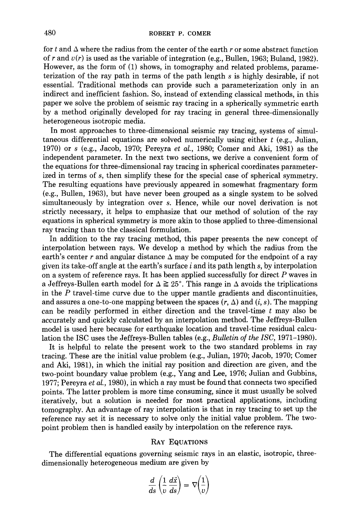for t and  $\Delta$  where the radius from the center of the earth r or some abstract function of r and *v(r)* is used as the variable of integration (e.g., Bullen, 1963; Buland, 1982). However, as the form of (1) shows, in tomography and related problems, parameterization of the ray path in terms of the path length s is highly desirable, if not essential. Traditional methods can provide such a parameterization only in an indirect and inefficient fashion. So, instead of extending classical methods, in this paper we solve the problem of seismic ray tracing in a spherically symmetric earth by a method originally developed for ray tracing in general three-dimensionally heterogeneous isotropic media.

In most approaches to three-dimensional seismic ray tracing, systems of simultaneous differential equations are solved numerically using either  $t$  (e.g., Julian, 1970) or s (e.g., Jacob, 1970; Pereyra *et al.,* 1980; Comer and Aki, 1981) as the independent parameter. In the next two sections, we derive a convenient form of the equations for three-dimensional ray tracing in spherical coordinates parameterized in terms of s, then simplify these for the special case of spherical symmetry. The resulting equations have previously appeared in somewhat fragmentary form (e.g., Bullen, 1963), but have never been grouped as a single system to be solved simultaneously by integration over s. Hence, while our novel derivation is not strictly necessary, it helps to emphasize that our method of solution of the ray equations in spherical symmetry is more akin to those applied to three-dimensional ray tracing than to the classical formulation.

In addition to the ray tracing method, this paper presents the new concept of interpolation between rays. We develop a method by which the radius from the earth's center r and angular distance  $\Delta$  may be computed for the endpoint of a ray given its take-off angle at the earth's surface  $i$  and its path length  $s$ , by interpolation on a system of reference rays. It has been applied successfully for direct P waves in a Jeffreys-Bullen earth model for  $\Delta \geq 25^{\circ}$ . This range in  $\Delta$  avoids the triplications in the P travel-time curve due to the upper mantle gradients and discontinuities, and assures a one-to-one mapping between the spaces  $(r, \Delta)$  and  $(i, s)$ . The mapping can be readily performed in either direction and the travel-time  $t$  may also be accurately and quickly calculated by an interpolation method. The Jeffreys-Bullen model is used here because for earthquake location and travel-time residual calculation the ISC uses the Jeffreys-Bullen tables (e.g., *Bulletin of the ISC,* 1971-1980).

It is helpful to relate the present work to the two standard problems in ray tracing. These are the initial value problem {e.g., Julian, 1970; Jacob, 1970; Comer and Aki, 1981), in which the initial ray position and direction are given, and the two-point boundary value problem (e.g., Yang and Lee, 1976; Julian and Gubbins, 1977; Pereyra *et al.,* 1980), in which a ray must be found that connects two specified points. The latter problem is more time consuming, since it must usually be solved iteratively, but a solution is needed for most practical applications, including tomography. An advantage of ray interpolation is that in ray tracing to set up the reference ray set it is necessary to solve only the initial value problem. The twopoint problem then is handled easily by interpolation on the reference rays.

#### RAY EQUATIONS

The differential equations governing seismic rays in an elastic, isotropic, threedimensionally heterogeneous medium are given by

$$
\frac{d}{ds}\left(\frac{1}{v}\frac{d\vec{x}}{ds}\right) = \nabla\!\!\left(\frac{1}{v}\right)
$$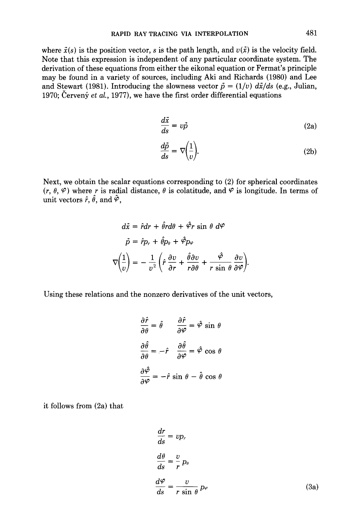where  $\vec{x}(s)$  is the position vector, s is the path length, and  $v(\vec{x})$  is the velocity field. Note that this expression is independent of any particular coordinate system. The derivation of these equations from either the eikonal equation or Fermat's principle may be found in a variety of sources, including Aki and Richards (1980) and Lee and Stewart (1981). Introducing the slowness vector  $\vec{p} = (1/v) d\vec{x}/ds$  (e.g., Julian, 1970; Červený *et al.*, 1977), we have the first order differential equations

$$
\frac{d\vec{x}}{ds} = v\vec{p} \tag{2a}
$$

$$
\frac{d\vec{p}}{ds} = \nabla \left(\frac{1}{v}\right). \tag{2b}
$$

Next, we obtain the scalar equations corresponding to (2) for spherical coordinates  $(r, \theta, \varphi)$  where r is radial distance,  $\theta$  is colatitude, and  $\varphi$  is longitude. In terms of unit vectors  $\hat{r}$ ,  $\hat{\theta}$ , and  $\hat{\varphi}$ ,

$$
d\vec{x} = \hat{r}dr + \hat{\theta}rd\theta + \hat{\varphi}r \sin \theta \ d\varphi
$$

$$
\vec{p} = \hat{r}p_r + \hat{\theta}p_{\theta} + \hat{\varphi}p_{\varphi}
$$

$$
\nabla \left(\frac{1}{v}\right) = -\frac{1}{v^2} \left(\hat{r}\frac{\partial v}{\partial r} + \frac{\hat{\theta}\partial v}{r\partial \theta} + \frac{\hat{\varphi}}{r \sin \theta} \frac{\partial v}{\partial \varphi}\right).
$$

Using these relations and the nonzero derivatives of the unit vectors,

$$
\frac{\partial \hat{r}}{\partial \theta} = \hat{\theta} \qquad \frac{\partial \hat{r}}{\partial \varphi} = \hat{\varphi} \sin \theta
$$

$$
\frac{\partial \hat{\theta}}{\partial \theta} = -\hat{r} \qquad \frac{\partial \hat{\theta}}{\partial \varphi} = \hat{\varphi} \cos \theta
$$

$$
\frac{\partial \hat{\varphi}}{\partial \varphi} = -\hat{r} \sin \theta - \hat{\theta} \cos \theta
$$

it follows from (2a) that

$$
\frac{dr}{ds} = vp_r
$$
\n
$$
\frac{d\theta}{ds} = \frac{v}{r} p_\theta
$$
\n
$$
\frac{d\varphi}{ds} = \frac{v}{r \sin \theta} p_\varphi
$$
\n(3a)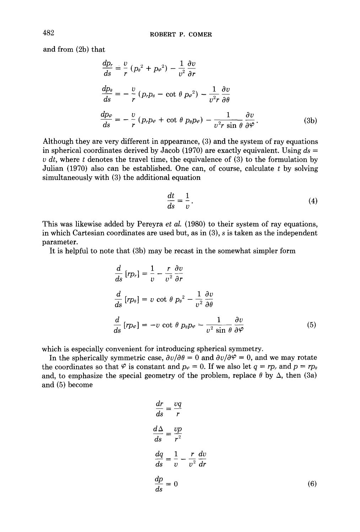and from (2b) that

$$
\frac{dp_r}{ds} = \frac{v}{r} (p_\theta^2 + p_{\varphi}^2) - \frac{1}{v^2} \frac{\partial v}{\partial r}
$$
\n
$$
\frac{dp_\theta}{ds} = -\frac{v}{r} (p_r p_\theta - \cot \theta \, p_{\varphi}^2) - \frac{1}{v^2 r} \frac{\partial v}{\partial \theta}
$$
\n
$$
\frac{dp_\varphi}{ds} = -\frac{v}{r} (p_r p_\varphi + \cot \theta \, p_\theta p_\varphi) - \frac{1}{v^2 r \sin \theta} \frac{\partial v}{\partial \varphi}.
$$
\n(3b)

Although they are very different in appearance, (3) and the system of ray equations in spherical coordinates derived by Jacob (1970) are exactly equivalent. Using *ds =*   $v \, dt$ , where t denotes the travel time, the equivalence of (3) to the formulation by Julian  $(1970)$  also can be established. One can, of course, calculate t by solving simultaneously with (3) the additional equation

$$
\frac{dt}{ds} = \frac{1}{v}.
$$
 (4)

This was likewise added by Pereyra *et al.* (1980) to their system of ray equations, in which Cartesian coordinates are used but, as in (3), s is taken as the independent parameter.

It is helpful to note that (3b) may be recast in the somewhat simpler form

$$
\frac{d}{ds} [rp_r] = \frac{1}{v} - \frac{r}{v^2} \frac{\partial v}{\partial r}
$$
\n
$$
\frac{d}{ds} [rp_\theta] = v \cot \theta p_\theta^2 - \frac{1}{v^2} \frac{\partial v}{\partial \theta}
$$
\n
$$
\frac{d}{ds} [rp_\varphi] = -v \cot \theta p_\theta p_\varphi - \frac{1}{v^2 \sin \theta} \frac{\partial v}{\partial \varphi}
$$
\n(5)

which is especially convenient for introducing spherical symmetry.

In the spherically symmetric case,  $\frac{\partial v}{\partial \theta} = 0$  and  $\frac{\partial v}{\partial \varphi} = 0$ , and we may rotate the coordinates so that  $\varphi$  is constant and  $p_{\varphi} = 0$ . If we also let  $q = rp$  and  $p = rp$ and, to emphasize the special geometry of the problem, replace  $\theta$  by  $\Delta$ , then (3a) and (5) become

$$
\frac{dr}{ds} = \frac{vq}{r}
$$
\n
$$
\frac{d\Delta}{ds} = \frac{vp}{r^2}
$$
\n
$$
\frac{dq}{ds} = \frac{1}{v} - \frac{r}{v^2} \frac{dv}{dr}
$$
\n
$$
\frac{dp}{ds} = 0
$$
\n(6)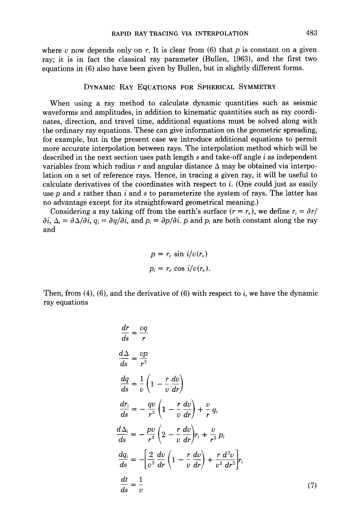where v now depends only on r. It is clear from  $(6)$  that p is constant on a given ray; it is in fact the classical ray parameter (Bullen, 1963), and the first two equations in (6) also have been given by Bullen, but in slightly different forms.

### **DYNAMIC RAY EQUATIONS FOR SPHERICAL SYMMETRY**

When using a ray method to calculate dynamic quantities such as seismic waveforms and amplitudes, in addition to kinematic quantities such as ray coordinates, direction, and travel time, additional equations must be solved along with the ordinary ray equations. These can give information on the geometric spreading, for example, but in the present case we introduce additional equations to permit more accurate interpolation between rays. The interpolation method which will be described in the next section uses path length  $s$  and take-off angle  $i$  as independent variables from which radius r and angular distance  $\Delta$  may be obtained via interpolation on a set of reference rays. Hence, in tracing a given ray, it will be useful to calculate derivatives of the coordinates with respect to  $i$ . (One could just as easily use p and s rather than i and s to parameterize the system of rays. The latter has no advantage except for its straightfoward geometrical meaning.)

Considering a ray taking off from the earth's surface  $(r = r_e)$ , we define  $r_i = \partial r /$  $\partial i$ ,  $\Delta_i = \partial \Delta/\partial i$ ,  $q_i = \partial q/\partial i$ , and  $p_i = \partial p/\partial i$ . p and  $p_i$  are both constant along the ray and

$$
p = r_e \sin i/v(r_e)
$$
  

$$
p_i = r_e \cos i/v(r_e).
$$

Then, from  $(4)$ ,  $(6)$ , and the derivative of  $(6)$  with respect to i, we have the dynamic ray equations

$$
\frac{dr}{ds} = \frac{vq}{r}
$$
\n
$$
\frac{d\Delta}{ds} = \frac{vp}{r^2}
$$
\n
$$
\frac{dq}{ds} = \frac{1}{v} \left( 1 - \frac{r}{v} \frac{dv}{dr} \right)
$$
\n
$$
\frac{dr_i}{ds} = -\frac{qv}{r^2} \left( 1 - \frac{r}{v} \frac{dv}{dr} \right) + \frac{v}{r} q_i
$$
\n
$$
\frac{d\Delta_i}{ds} = -\frac{pv}{r^3} \left( 2 - \frac{r}{v} \frac{dv}{dr} \right) r_i + \frac{v}{r^2} p_i
$$
\n
$$
\frac{dq_i}{ds} = -\left[ \frac{2}{v^2} \frac{dv}{dr} \left( 1 - \frac{r}{v} \frac{dv}{dr} \right) + \frac{r}{v^2} \frac{d^2v}{dr^2} \right] r_i
$$
\n
$$
\frac{dt}{ds} = \frac{1}{v} \tag{7}
$$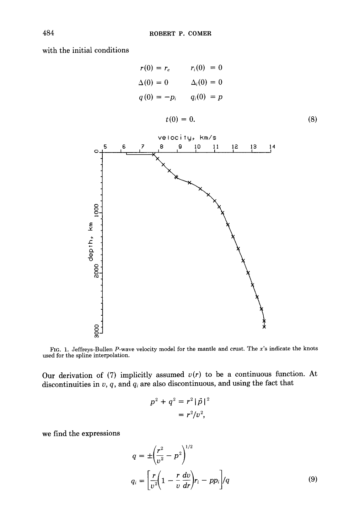with the initial conditions

$$
r(0) = r_e \qquad r_i(0) = 0
$$
  
\n
$$
\Delta(0) = 0 \qquad \Delta_i(0) = 0
$$
  
\n
$$
q(0) = -p_i \qquad q_i(0) = p
$$
  
\n
$$
t(0) = 0.
$$
\n(8)



FIG. 1. Jeffreys-Bullen P-wave velocity model for the mantle and crust. The *x's* indicate the knots used for the spline interpolation.

Our derivation of  $(7)$  implicitly assumed  $v(r)$  to be a continuous function. At discontinuities in  $v$ ,  $q$ , and  $q_i$  are also discontinuous, and using the fact that

$$
p^{2} + q^{2} = r^{2} |\vec{p}|^{2}
$$
  
=  $r^{2}/v^{2}$ ,

we find the expressions

$$
q = \pm \left(\frac{r^2}{v^2} - p^2\right)^{1/2}
$$
  
\n
$$
q_i = \left[\frac{r}{v^2} \left(1 - \frac{r}{v}\frac{dv}{dr}\right) r_i - pp_i\right] / q
$$
\n(9)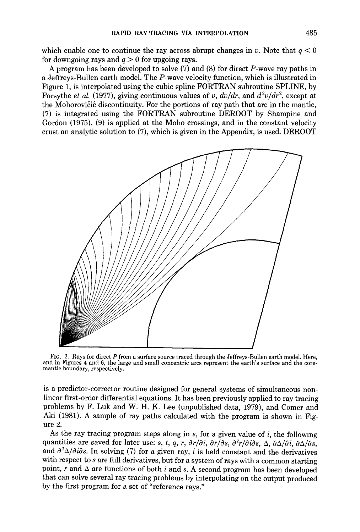which enable one to continue the ray across abrupt changes in v. Note that  $q < 0$ for downgoing rays and  $q > 0$  for upgoing rays.

A program has been developed to solve (7) and (8) for direct P-wave ray paths in a Jeffreys-Bullen earth model. The P-wave velocity function, which is illustrated in Figure 1, is interpolated using the cubic spline FORTRAN subroutine SPLINE, by Forsythe *et al.* (1977), giving continuous values of v,  $dv/dr$ , and  $d^2v/dr^2$ , except at the Mohorovičić discontinuity. For the portions of ray path that are in the mantle, (7) is integrated using the FORTRAN subroutine DEROOT by Shampine and Gordon (1975), (9) is applied at the Moho crossings, and in the constant velocity crust an analytic solution to (7), which is given in the Appendix, is used. DEROOT



FIG. 2. Rays for direct P from a surface source traced through the Jeffreys-Bullen earth model. Here, and in Figures 4 and 6, the large and small concentric arcs represent the earth's surface and the coremantle boundary, respectively.

is a predictor-corrector routine designed for general systems of simultaneous nonlinear first-order differential equations. It has been previously applied to ray tracing problems by F. Luk and W. H. K. Lee (unpublished data, 1979), and Comer and Aki (1981). A sample of ray paths calculated with the program is shown in Figure 2.

As the ray tracing program steps along in  $s$ , for a given value of  $i$ , the following quantities are saved for later use: *s, t, q, r,*  $\frac{\partial r}{\partial i}$ *,*  $\frac{\partial r}{\partial s}$ *,*  $\frac{\partial^2 r}{\partial i\partial s}$ *,*  $\Delta$ *,*  $\frac{\partial \Delta}{\partial i}$ *,*  $\frac{\partial \Delta}{\partial s}$ *.* and  $\partial^2 \Delta/\partial i \partial s$ . In solving (7) for a given ray, i is held constant and the derivatives with respect to  $s$  are full derivatives, but for a system of rays with a common starting point, r and  $\Delta$  are functions of both i and s. A second program has been developed that can solve several ray tracing problems by interpolating on the output produced by the first program for a set of "reference rays."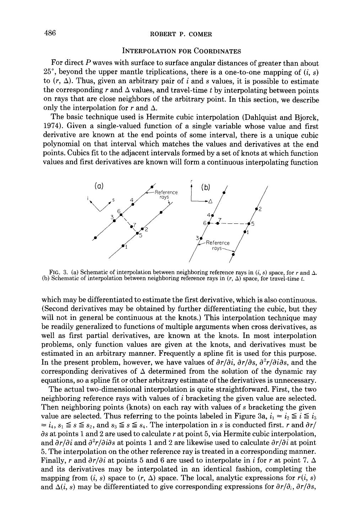### **INTERPOLATION FOR COORDINATES**

For direct P waves with surface to surface angular distances of greater than about  $25^{\circ}$ , beyond the upper mantle triplications, there is a one-to-one mapping of  $(i, s)$ to  $(r, \Delta)$ . Thus, given an arbitrary pair of i and s values, it is possible to estimate the corresponding r and  $\Delta$  values, and travel-time t by interpolating between points on rays that are close neighbors of the arbitrary point. In this section, we describe only the interpolation for r and  $\Delta$ .

The basic technique used is Hermite cubic interpolation (Dahlquist and Bjorck, 1974). Given a single-valued function of a single variable whose value and first derivative are known at the end points of some interval, there is a unique cubic polynomial on that interval which matches the values and derivatives at the end points. Cubics fit to the adjacent intervals formed by a set of knots at which function values and first derivatives are known will form a continuous interpolating function



FIG. 3. (a) Schematic of interpolation between neighboring reference rays in  $(i, s)$  space, for r and  $\Delta$ . (b) Schematic of interpolation between neighboring reference rays in  $(r, \Delta)$  space, for travel-time t.

which may be differentiated to estimate the first derivative, which is also continuous. (Second derivatives may be obtained by further differentiating the cubic, but they will not in general be continuous at the knots.) This interpolation technique may be readily generalized to functions of multiple arguments when cross derivatives, as well as first partial derivatives, are known at the knots. In most interpolation problems, only function values are given at the knots, and derivatives must be estimated in an arbitrary manner. Frequently a spline fit is used for this purpose. In the present problem, however, we have values of  $\frac{\partial r}{\partial i}$ ,  $\frac{\partial r}{\partial s}$ ,  $\frac{\partial^2 r}{\partial i\partial s}$ , and the corresponding derivatives of  $\Delta$  determined from the solution of the dynamic ray equations, so a spline fit or other arbitrary estimate of the derivatives is unnecessary.

The actual two-dimensional interpolation is quite straightforward. First, the two neighboring reference rays with values of i bracketing the given value are selected. Then neighboring points (knots) on each ray with values of s bracketing the given value are selected. Thus referring to the points labeled in Figure 3a,  $i_1 = i_2 \le i \le i_3$  $i_4$ ,  $s_1 \leq s \leq s_2$ , and  $s_3 \leq s \leq s_4$ . The interpolation in s is conducted first, r and  $\partial r / r$  $\partial s$  at points 1 and 2 are used to calculate r at point 5, via Hermite cubic interpolation, and  $\frac{\partial r}{\partial i}$  and  $\frac{\partial^2 r}{\partial i \partial s}$  at points 1 and 2 are likewise used to calculate  $\frac{\partial r}{\partial i}$  at point 5. The interpolation on the other reference ray is treated in a corresponding manner. Finally, r and  $\partial r/\partial i$  at points 5 and 6 are used to interpolate in i for r at point 7.  $\Delta$ and its derivatives may be interpolated in an identical fashion, completing the mapping from  $(i, s)$  space to  $(r, \Delta)$  space. The local, analytic expressions for  $r(i, s)$ and  $\Delta(i, s)$  may be differentiated to give corresponding expressions for  $\partial r/\partial_i$ ,  $\partial r/\partial s$ ,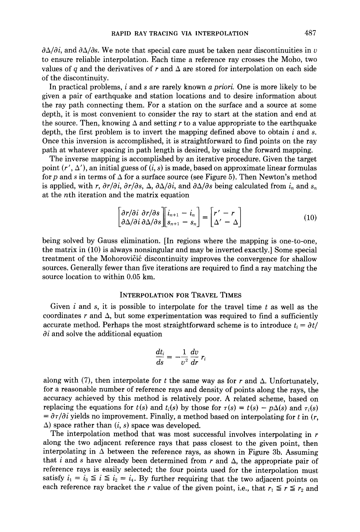$\partial \Delta/\partial i$ , and  $\partial \Delta/\partial s$ . We note that special care must be taken near discontinuities in v to ensure reliable interpolation. Each time a reference ray crosses the Moho, two values of q and the derivatives of r and  $\Delta$  are stored for interpolation on each side Of the discontinuity.

In practical problems, i and s are rarely known *a priori.* One is more likely to be given a pair of earthquake and station locations and to desire information about the ray path connecting them. For a station on the surface and a source at some depth, it is most convenient to consider the ray to start at the station and end at the source. Then, knowing  $\Delta$  and setting r to a value appropriate to the earthquake depth, the first problem is to invert the mapping defined above to obtain  $i$  and  $s$ . Once this inversion is accomplished, it is straightforward to find points on the ray path at whatever spacing in path length is desired, by using the forward mapping.

The inverse mapping is accomplished by an iterative procedure. Given the target point  $(r', \Delta')$ , an initial guess of  $(i, s)$  is made, based on approximate linear formulas for p and s in terms of  $\Delta$  for a surface source (see Figure 5). Then Newton's method is applied, with *r*,  $\partial r/\partial i$ ,  $\partial r/\partial s$ ,  $\Delta$ ,  $\partial \Delta/\partial i$ , and  $\partial \Delta/\partial s$  being calculated from  $i_n$  and  $s_n$ at the *n*th iteration and the matrix equation

$$
\begin{bmatrix}\n\frac{\partial r}{\partial i} & \frac{\partial r}{\partial s} \\
\frac{\partial \Delta}{\partial i} & \frac{\partial \Delta}{\partial s}\n\end{bmatrix}\n\begin{bmatrix}\n\dot{i}_{n+1} - \dot{i}_n \\
s_{n+1} - s_n\n\end{bmatrix} =\n\begin{bmatrix}\nr' - r \\
\Delta' - \Delta\n\end{bmatrix}
$$
\n(10)

being solved by Gauss elimination. [In regions where the mapping is one-to-one, the matrix in (10) is always nonsingular and may be inverted exactly.] Some special treatment of the Mohorovičić discontinuity improves the convergence for shallow sources. Generally fewer than five iterations are required to find a ray matching the source location to within 0.05 km.

### INTERPOLATION FOR TRAVEL TIMES

Given i and s, it is possible to interpolate for the travel time t as well as the coordinates r and  $\Delta$ , but some experimentation was required to find a sufficiently accurate method. Perhaps the most straightforward scheme is to introduce  $t_i = \partial t / \partial t$  $\partial i$  and solve the additional equation

$$
\frac{dt_i}{ds} = -\frac{1}{v^2}\frac{dv}{dr} r_i
$$

along with (7), then interpolate for t the same way as for r and  $\Delta$ . Unfortunately, for a reasonable number of reference rays and density of points along the rays, the accuracy achieved by this method is relatively poor. A related scheme, based on replacing the equations for  $t(s)$  and  $t_i(s)$  by those for  $\tau(s) = t(s) - p\Delta(s)$  and  $\tau_i(s)$  $=\partial \tau/\partial i$  yields no improvement. Finally, a method based on interpolating for t in  $(r, \theta)$  $(\Delta)$  space rather than  $(i, s)$  space was developed.

The interpolation method that was most successful involves interpolating in  $r$ along the two adjacent reference rays that pass closest to the given point, then interpolating in  $\Delta$  between the reference rays, as shown in Figure 3b. Assuming that i and s have already been determined from  $r$  and  $\Delta$ , the appropriate pair of reference rays is easily selected; the four points used for the interpolation must satisfy  $i_1 = i_3 \leq i \leq i_2 = i_4$ . By further requiring that the two adjacent points on each reference ray bracket the r value of the given point, i.e., that  $r_1 \le r \le r_2$  and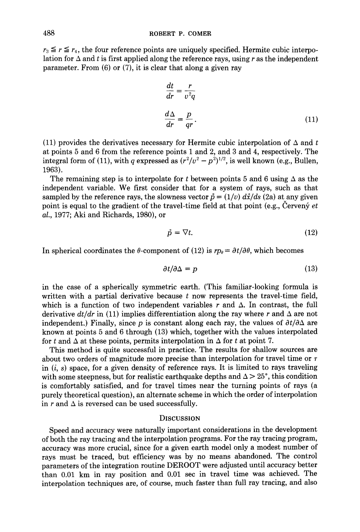$r_3 \le r \le r_4$ , the four reference points are uniquely specified. Hermite cubic interpolation for  $\Delta$  and t is first applied along the reference rays, using r as the independent parameter. From (6) or (7), it is clear that along a given ray

$$
\frac{dt}{dr} = \frac{r}{v^2q}
$$
  

$$
\frac{d\Delta}{dr} = \frac{p}{qr}.
$$
 (11)

(11) provides the derivatives necessary for Hermite cubic interpolation of  $\Delta$  and t at points 5 and 6 from the reference points 1 and 2, and 3 and 4, respectively. The integral form of (11), with q expressed as  $(r^2/v^2 - p^2)^{1/2}$ , is well known (e.g., Bullen, 1963).

The remaining step is to interpolate for t between points 5 and 6 using  $\Delta$  as the independent variable. We first consider that for a system of rays, such as that sampled by the reference rays, the slowness vector  $\vec{p} = (1/v) d\vec{x}/ds$  (2a) at any given point is equal to the gradient of the travel-time field at that point (e.g., Cervený *et al.,* 1977; Aki and Richards, 1980), or

$$
\vec{p} = \nabla t. \tag{12}
$$

In spherical coordinates the  $\theta$ -component of (12) is  $r p_{\theta} = \partial t / \partial \theta$ , which becomes

$$
\partial t/\partial \Delta = p \tag{13}
$$

in the case of a spherically symmetric earth. (This familiar-looking formula is written with a partial derivative because  $t$  now represents the travel-time field, which is a function of two independent variables r and  $\Delta$ . In contrast, the full derivative  $dt/dr$  in (11) implies differentiation along the ray where r and  $\Delta$  are not independent.) Finally, since p is constant along each ray, the values of  $\partial t/\partial \Delta$  are known at points 5 and 6 through (13) which, together with the values interpolated for t and  $\Delta$  at these points, permits interpolation in  $\Delta$  for t at point 7.

This method is quite successful in practice. The results for shallow sources are about two orders of magnitude more precise than interpolation for travel time or  $\tau$ in  $(i, s)$  space, for a given density of reference rays. It is limited to rays traveling with some steepness, but for realistic earthquake depths and  $\Delta > 25^{\circ}$ , this condition is comfortably satisfied, and for travel times near the turning points of rays (a purely theoretical question), an alternate scheme in which the order of interpolation in r and  $\Delta$  is reversed can be used successfully.

#### **DISCUSSION**

Speed and accuracy were naturally important considerations in the development of both the ray tracing and the interpolation programs. For the ray tracing program, accuracy was more crucial, since for a given earth model only a modest number of rays must be traced, but efficiency was by no means abandoned. The control parameters of the integration routine DEROOT were adjusted until accuracy better than 0.01 km in ray position and 0.01 sec in travel time was achieved. The interpolation techniques are, of course, much faster than full ray tracing, and also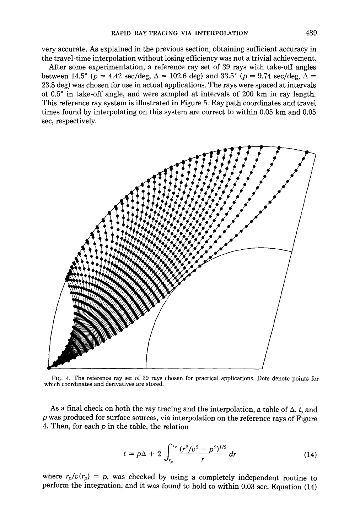very accurate. As explained in the previous section, obtaining sufficient accuracy in the travel-time interpolation without losing efficiency was not a trivial achievement.

After some experimentation, a reference ray set of 39 rays with take-off angles between 14.5° ( $p = 4.42 \text{ sec/deg}$ ,  $\Delta = 102.6 \text{ deg}$ ) and 33.5° ( $p = 9.74 \text{ sec/deg}$ ,  $\Delta =$ 23.8 deg) was chosen for use in actual applications. The rays were spaced at intervals of 0.5 ° in take-off angle, and were sampled at intervals of 200 km in ray length. This reference ray system is illustrated in Figure 5. Ray path coordinates and travel times found by interpolating on this system are correct to within 0.05 km and 0.05 sec, respectively.



Fro. 4. The reference ray set of 39 rays chosen for practical applications. Dots denote points for which coordinates and derivatives are stored.

As a final check on both the ray tracing and the interpolation, a table of  $\Delta$ , t, and p was produced for surface sources, via interpolation on the reference rays of Figure 4. Then, for each  $p$  in the table, the relation

$$
t = p\Delta + 2 \int_{r_p}^{r_e} \frac{(r^2/v^2 - p^2)^{1/2}}{r} dr \tag{14}
$$

where  $r_p/v(r_p) = p$ , was checked by using a completely independent routine to perform the integration, and it was found to hold to within 0.03 sec. Equation (14)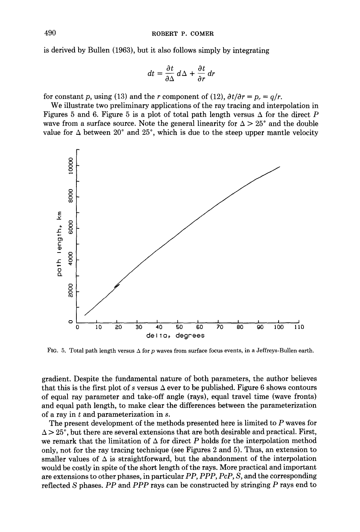is derived by Bullen (1963), but it also follows simply by integrating

$$
dt = \frac{\partial t}{\partial \Delta} d\Delta + \frac{\partial t}{\partial r} dr
$$

for constant p, using (13) and the r component of (12),  $\partial t/\partial r = p_r = q/r$ .

We illustrate two preliminary applications of the ray tracing and interpolation in Figures 5 and 6. Figure 5 is a plot of total path length versus  $\Delta$  for the direct P wave from a surface source. Note the general linearity for  $\Delta > 25^{\circ}$  and the double value for  $\Delta$  between 20° and 25°, which is due to the steep upper mantle velocity



FIG. 5. Total path length versus  $\Delta$  for p waves from surface focus events, in a Jeffreys-Bullen earth.

gradient. Despite the fundamental nature of both parameters, the author believes that this is the first plot of s versus  $\Delta$  ever to be published. Figure 6 shows contours of equal ray parameter and take-off angle (rays), equal travel time (wave fronts) and equal path length, to make clear the differences between the parameterizafion of a ray in t and parameterization in s.

The present development of the methods presented here is limited to P waves for  $\Delta > 25^{\circ}$ , but there are several extensions that are both desirable and practical. First, we remark that the limitation of  $\Delta$  for direct P holds for the interpolation method only, not for the ray tracing technique (see Figures 2 and 5). Thus, an extension to smaller values of  $\Delta$  is straightforward, but the abandonment of the interpolation would be costly in spite of the short length of the rays. More practical and important are extensions to other phases, in particular *PP, PPP, PcP, S,* and the corresponding reflected S phases. *PP* and *PPP* rays can be constructed by stringing P rays end to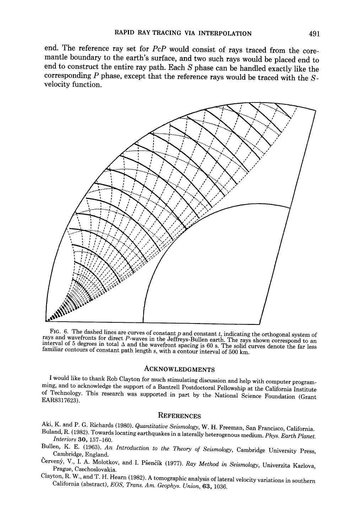**end. The reference ray set for** *PcP* **would consist of rays traced from the coremantle boundary to the earth's surface, and two such rays would be placed end to end to construct the entire ray path. Each S phase can be handled exactly like the corresponding P phase, except that the reference rays would be traced with the Svelocity function.** 



FIG. 6. The dashed lines are curves of constant  $p$  and constant  $t$ , indicating the orthogonal system of rays and wavefronts for direct P-waves in the Jeffreys-Bullen earth. The rays shown correspond to an interval of 5 degrees in total  $\Delta$  and the wavefront spacing is 60 s. The solid curves denote the far less familiar contours of constant path length  $s$ , with a contour interval of 500 km.

#### ACKNOWLEDGMENTS

I would like to thank Rob Clayton for much stimulating discussion and help with computer programming, and to acknowledge the support of a Bantrell Postdoctoral Fellowship at the California Institute of Technology. This research was supported in part by the National Science Foundation (Grant EAR8317623).

### **REFERENCES**

Aki, K. and P. G. Richards (1980). *Quantitative Seismology,* W. H. Freeman, San Francisco, California.

- Buland, R. (1982). Towards locating earthquakes in a laterally heterogenous medium. *Phys. Earth Planet. Interiors* 30, 157-160.
- Bullen, K. E. (1963). *An Introduction to the Theory of Seismology,* Cambridge University Press, Cambridge, England.
- Červený, V., I. A. Molotkov, and I. Pšenčík (1977). *Ray Method in Seismology*, Univerzita Karlova, Prague, Czechoslovakia.
- Clayton, R. W., and T. H. Hearn {1982). A tomographic analysis of lateral velocity variations in southern California (abstract), *EOS, Trans. Am. Geophys. Union,* 63, 1036.